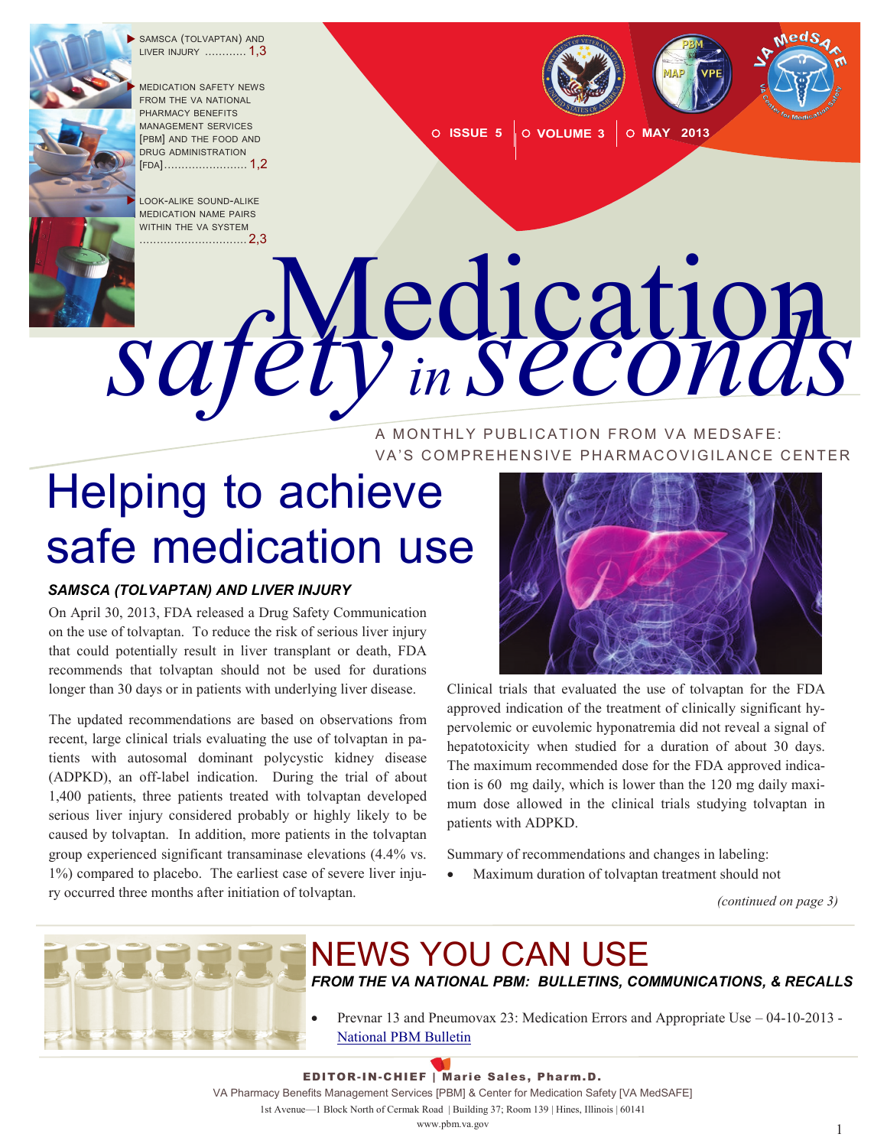

 SAMSCA (TOLVAPTAN) AND LIVER INJURY ............ 1,3

 MEDICATION SAFETY NEWS FROM THE VA NATIONAL PHARMACY BENEFITS MANAGEMENT SERVICES [PBM] AND THE FOOD AND DRUG ADMINISTRATION [FDA][........................](#page-1-0) 1,2

 LOOK-ALIKE SOUND-ALIKE MEDICATION NAME PAIRS WITHIN THE VA SYSTEM



**O ISSUE 5 O VOLUME 3 O MAY 2013** 

# [...............................](#page-1-0) 2,3 Medication *safety in seconds*

#### A MONTHLY PUBLICATION FROM VA MEDSAFE: VA'S COMPREHENSIVE PHARMACOVIGILANCE CENTER

## Helping to achieve safe medication use

#### *SAMSCA (TOLVAPTAN) AND LIVER INJURY*

On April 30, 2013, FDA released a Drug Safety Communication on the use of tolvaptan. To reduce the risk of serious liver injury that could potentially result in liver transplant or death, FDA recommends that tolvaptan should not be used for durations longer than 30 days or in patients with underlying liver disease.

The updated recommendations are based on observations from recent, large clinical trials evaluating the use of tolvaptan in patients with autosomal dominant polycystic kidney disease (ADPKD), an off-label indication. During the trial of about 1,400 patients, three patients treated with tolvaptan developed serious liver injury considered probably or highly likely to be caused by tolvaptan. In addition, more patients in the tolvaptan group experienced significant transaminase elevations (4.4% vs. 1%) compared to placebo. The earliest case of severe liver injury occurred three months after initiation of tolvaptan.



Clinical trials that evaluated the use of tolvaptan for the FDA approved indication of the treatment of clinically significant hypervolemic or euvolemic hyponatremia did not reveal a signal of hepatotoxicity when studied for a duration of about 30 days. The maximum recommended dose for the FDA approved indication is 60 mg daily, which is lower than the 120 mg daily maximum dose allowed in the clinical trials studying tolvaptan in patients with ADPKD.

Summary of recommendations and changes in labeling:

Maximum duration of tolvaptan treatment should not

*(continued on page 3)*



## NEWS YOU CAN USE

*FROM THE VA NATIONAL PBM: BULLETINS, COMMUNICATIONS, & RECALLS*

 Prevnar 13 and Pneumovax 23: Medication Errors and Appropriate Use – 04-10-2013 - [National PBM Bulletin](http://www.pbm.va.gov/vacenterformedicationsafety/nationalpbmbulletin/Prevnar13andPneumovax23MedicationErrorsandAppropriateUse.pdf)

EDITOR-IN-CHIEF | Marie Sales, Pharm.D. VA Pharmacy Benefits Management Services [PBM] & Center for Medication Safety [VA MedSAFE] 1st Avenue—1 Block North of Cermak Road | Building 37; Room 139 | Hines, Illinois | 60141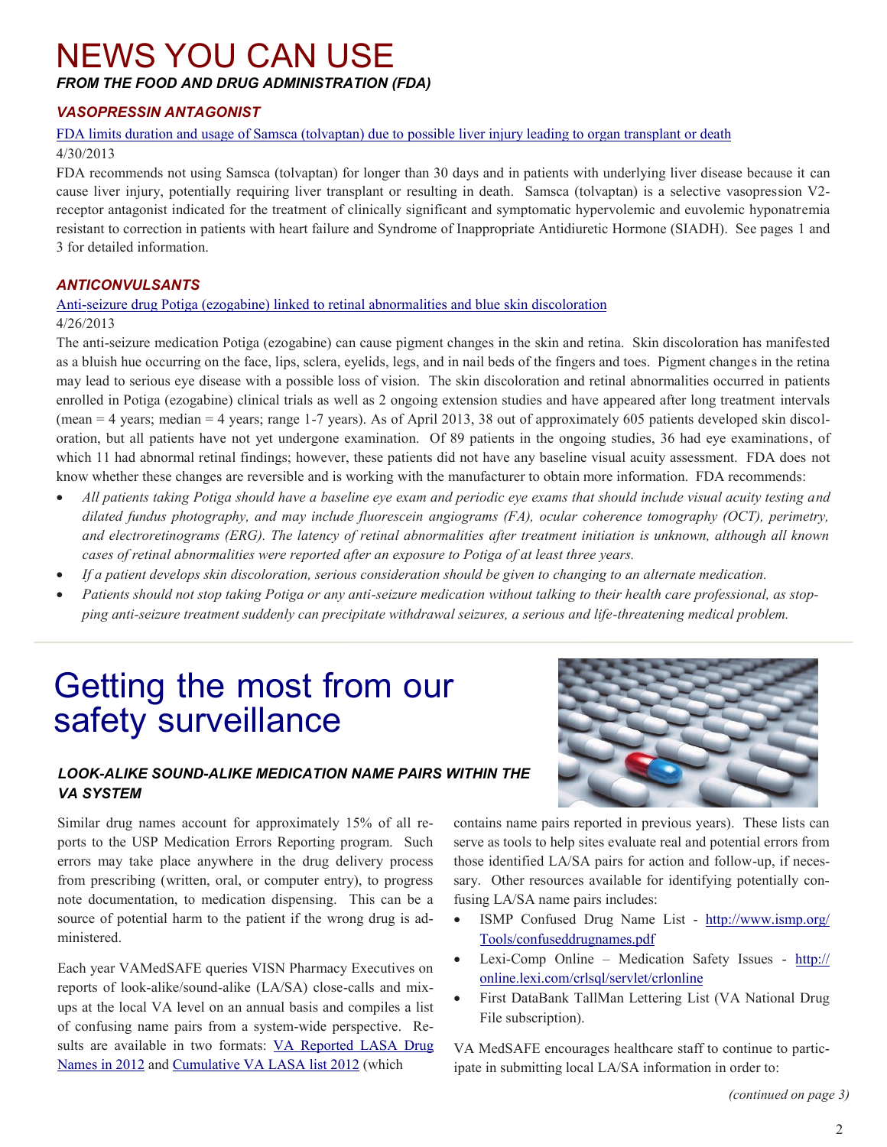## <span id="page-1-0"></span>NEWS YOU CAN USE

*FROM THE FOOD AND DRUG ADMINISTRATION (FDA)*

#### *VASOPRESSIN ANTAGONIST*

#### [FDA limits duration and usage of Samsca \(tolvaptan\) due to possible liver injury leading to organ transplant or death](http://www.fda.gov/Drugs/DrugSafety/ucm350062.htm)

#### 4/30/2013

FDA recommends not using Samsca (tolvaptan) for longer than 30 days and in patients with underlying liver disease because it can cause liver injury, potentially requiring liver transplant or resulting in death. Samsca (tolvaptan) is a selective vasopression V2 receptor antagonist indicated for the treatment of clinically significant and symptomatic hypervolemic and euvolemic hyponatremia resistant to correction in patients with heart failure and Syndrome of Inappropriate Antidiuretic Hormone (SIADH). See pages 1 and 3 for detailed information.

#### *ANTICONVULSANTS*

#### Anti-[seizure drug Potiga \(ezogabine\) linked to retinal abnormalities and blue skin discoloration](http://www.fda.gov/Drugs/DrugSafety/ucm349538.htm)

#### 4/26/2013

The anti-seizure medication Potiga (ezogabine) can cause pigment changes in the skin and retina. Skin discoloration has manifested as a bluish hue occurring on the face, lips, sclera, eyelids, legs, and in nail beds of the fingers and toes. Pigment changes in the retina may lead to serious eye disease with a possible loss of vision. The skin discoloration and retinal abnormalities occurred in patients enrolled in Potiga (ezogabine) clinical trials as well as 2 ongoing extension studies and have appeared after long treatment intervals (mean = 4 years; median = 4 years; range 1-7 years). As of April 2013, 38 out of approximately 605 patients developed skin discoloration, but all patients have not yet undergone examination. Of 89 patients in the ongoing studies, 36 had eye examinations, of which 11 had abnormal retinal findings; however, these patients did not have any baseline visual acuity assessment. FDA does not know whether these changes are reversible and is working with the manufacturer to obtain more information. FDA recommends:

- *All patients taking Potiga should have a baseline eye exam and periodic eye exams that should include visual acuity testing and dilated fundus photography, and may include fluorescein angiograms (FA), ocular coherence tomography (OCT), perimetry, and electroretinograms (ERG). The latency of retinal abnormalities after treatment initiation is unknown, although all known cases of retinal abnormalities were reported after an exposure to Potiga of at least three years.*
- *If a patient develops skin discoloration, serious consideration should be given to changing to an alternate medication.*
- *Patients should not stop taking Potiga or any anti-seizure medication without talking to their health care professional, as stopping anti-seizure treatment suddenly can precipitate withdrawal seizures, a serious and life-threatening medical problem.*

### Getting the most from our safety surveillance

#### *LOOK-ALIKE SOUND-ALIKE MEDICATION NAME PAIRS WITHIN THE VA SYSTEM*

Similar drug names account for approximately 15% of all reports to the USP Medication Errors Reporting program. Such errors may take place anywhere in the drug delivery process from prescribing (written, oral, or computer entry), to progress note documentation, to medication dispensing. This can be a source of potential harm to the patient if the wrong drug is administered.

Each year VAMedSAFE queries VISN Pharmacy Executives on reports of look-alike/sound-alike (LA/SA) close-calls and mixups at the local VA level on an annual basis and compiles a list of confusing name pairs from a system-wide perspective. Results are available in two formats: [VA Reported LASA Drug](http://www.pbm.va.gov/vacenterformedicationsafety/othervasafetyprojects/VAReportedLASADrugNamesin2012.pdf) [Names in 2012](http://www.pbm.va.gov/vacenterformedicationsafety/othervasafetyprojects/VAReportedLASADrugNamesin2012.pdf) and C[umulative VA LASA list 2012](http://www.pbm.va.gov/vacenterformedicationsafety/othervasafetyprojects/CumulativeVALASAlist2012.pdf) (which



contains name pairs reported in previous years). These lists can serve as tools to help sites evaluate real and potential errors from those identified LA/SA pairs for action and follow-up, if necessary. Other resources available for identifying potentially confusing LA/SA name pairs includes:

- ISMP Confused Drug Name List [http://www.ismp.org/](http://www.ismp.org/Tools/confuseddrugnames.pdf) [Tools/confuseddrugnames.pdf](http://www.ismp.org/Tools/confuseddrugnames.pdf)
- Lexi-Comp Online Medication Safety Issues [http://](http://online.lexi.com/crlsql/servlet/crlonline) [online.lexi.com/crlsql/servlet/crlonline](http://online.lexi.com/crlsql/servlet/crlonline)
- First DataBank TallMan Lettering List (VA National Drug File subscription).

VA MedSAFE encourages healthcare staff to continue to participate in submitting local LA/SA information in order to: